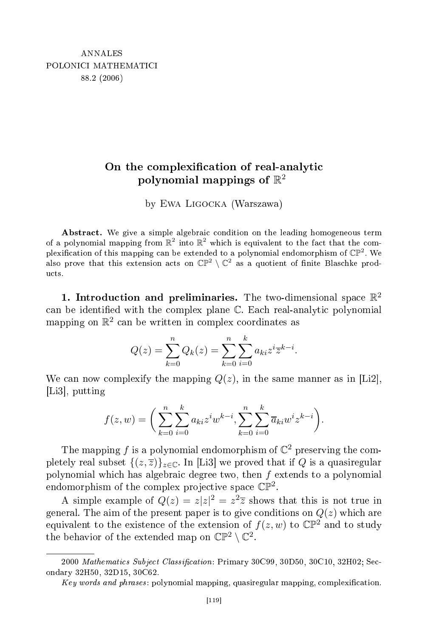## omplexity at the complexity of real-analytic complexity at the complexity of real-analytic complexity at the c polynomial mappings of  $\mathbb{R}^2$

by Ewa Ligocka (Warszawa)

Abstract. We give a simple algebraic condition on the leading homogeneous term of a polynomial mapping from  $\mathbb{R}^2$  into  $\mathbb{R}^2$ plexification of this mapping can be extended to a polynomial endomorphism of  $\mathbb{CP}^2$ . We also prove that this extension acts on  $\mathbb{CP}^2 \setminus \mathbb{C}^2$  as a quotient of finite Blaschke products.

1. Introduction and preliminaries. The two-dimensional space  $\mathbb{R}^2$ can be identified with the complex plane C. Each real-analytic polynomial mapping on  $\mathbb{R}^2$  can be written in complex coordinates as

$$
Q(z) = \sum_{k=0}^{n} Q_k(z) = \sum_{k=0}^{n} \sum_{i=0}^{k} a_{ki} z^{i} \overline{z}^{k-i}.
$$

We can now complexify the mapping  $Q(z)$ , in the same manner as in [Li2],  $[Li3]$ , putting

$$
f(z, w) = \bigg(\sum_{k=0}^{n} \sum_{i=0}^{k} a_{ki} z^{i} w^{k-i}, \sum_{k=0}^{n} \sum_{i=0}^{k} \overline{a}_{ki} w^{i} z^{k-i}\bigg).
$$

The mapping f is a polynomial endomorphism of  $\mathbb{C}^2$  preserving the completely real subset  $\{(z,\overline{z})\}_{z\in\mathbb{C}}$ . In [Li3] we proved that if Q is a quasiregular polynomial which has algebraic degree two, then  $f$  extends to a polynomial endomorphism of the complex projective space  $\mathbb{CP}^2$ .

A simple example of  $Q(z) = z|z|^2 = z^2 \overline{z}$  shows that this is not true in general. The aim of the present paper is to give conditions on  $Q(z)$  which are equivalent to the existence of the extension of  $f(z, w)$  to  $\mathbb{CP}^2$  and to study the behavior of the extended map on  $\mathbb{CP}^2 \setminus \mathbb{C}^2$ .

 $2000 \text{ *Mathematics Subject Classification*: Primary 30C99, 30D50, 30C10, 32H02; Sec$ ondary 32H50, 32D15, 30C62.

Key words and phrases: polynomial mapping, quasiregular mapping, complexification.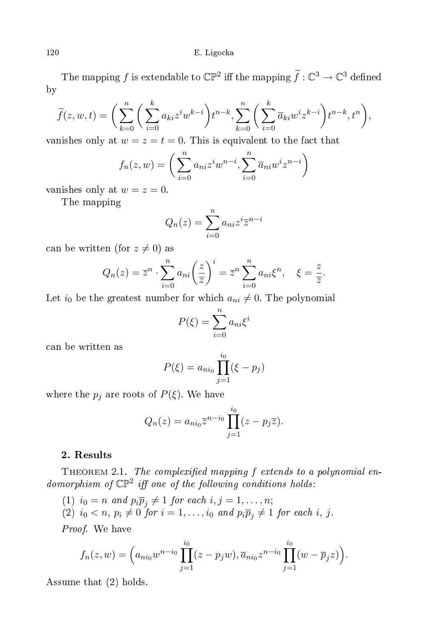120 E. Ligo et al. 120 E. Ligo et al. 120 E. Ligo et al. 120 E. Ligo et al. 120 E. Ligo et al. 120 E. Ligo et

The mapping  $f$  is extendable to  $\mathbb{CP}^2$  iff the mapping  $\widetilde{f}: \mathbb{C}^3 \to \mathbb{C}^3$  defined by

$$
\widetilde{f}(z,w,t) = \bigg(\sum_{k=0}^{n} \bigg(\sum_{i=0}^{k} a_{ki}z^{i}w^{k-i}\bigg)t^{n-k}, \sum_{k=0}^{n} \bigg(\sum_{i=0}^{k} \overline{a}_{ki}w^{i}z^{k-i}\bigg)t^{n-k}, t^{n}\bigg),
$$

vanishes only at  $w = z = t = 0$ . This is equivalent to the fact that

$$
f_n(z,w) = \bigg(\sum_{i=0}^n a_{ni}z^iw^{n-i}, \sum_{i=0}^n \overline{a}_{ni}w^iz^{n-i}\bigg)
$$

vanishes only at  $w = z = 0$ .

The mapping

$$
Q_n(z) = \sum_{i=0}^n a_{ni} z^i \overline{z}^{n-i}
$$

can be written (for  $z \neq 0$ ) as

$$
Q_n(z) = \overline{z}^n \cdot \sum_{i=0}^n a_{ni} \left(\frac{z}{\overline{z}}\right)^i = \overline{z}^n \sum_{i=0}^n a_{ni} \xi^n, \quad \xi = \frac{z}{\overline{z}}
$$

.

Let  $i_0$  be the greatest number for which  $a_{ni} \neq 0$ . The polynomial

$$
P(\xi) = \sum_{i=0}^{n} a_{ni} \xi^i
$$

an be written as

$$
P(\xi) = a_{ni_0} \prod_{j=1}^{i_0} (\xi - p_j)
$$

where the  $p_j$  are roots of  $P(\xi)$ . We have

$$
Q_n(z) = a_{ni_0} \overline{z}^{n-i_0} \prod_{j=1}^{i_0} (z - p_j \overline{z}).
$$

## 2. Results

THEOREM 2.1. The complexified mapping  $f$  extends to a polynomial endomorphism of  $\mathbb{CP}^2$  iff one of the following conditions holds:

- (1)  $i_0 = n$  and  $p_i \overline{p}_i \neq 1$  for each  $i, j = 1, \ldots, n;$
- (2)  $i_0 < n, p_i \neq 0$  for  $i = 1, \ldots, i_0$  and  $p_i \overline{p}_i \neq 1$  for each i, j.

Proof. We have

$$
f_n(z, w) = \left( a_{ni_0} w^{n-i_0} \prod_{j=1}^{i_0} (z - p_j w), \overline{a}_{ni_0} z^{n-i_0} \prod_{j=1}^{i_0} (w - \overline{p}_j z) \right).
$$

Assume that (2) holds.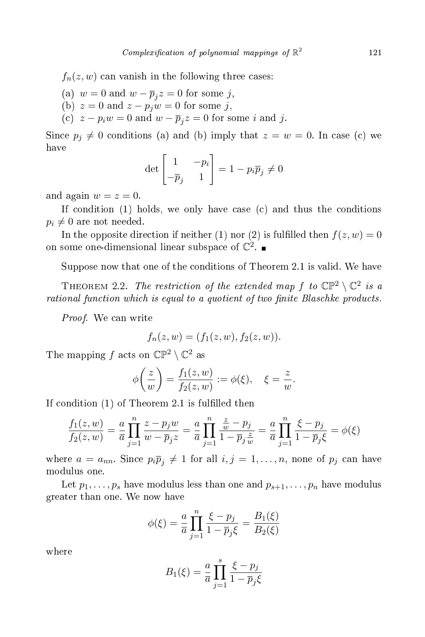$f_n(z, w)$  can vanish in the following three cases:

- (a)  $w = 0$  and  $w \overline{p}_j z = 0$  for some j,
- (b)  $z = 0$  and  $z p_j w = 0$  for some j,
- (c)  $z p_i w = 0$  and  $w \overline{p}_j z = 0$  for some *i* and *j*.

Since  $p_i \neq 0$  conditions (a) and (b) imply that  $z = w = 0$ . In case (c) we have

$$
\det\begin{bmatrix} 1 & -p_i \\ -\overline{p}_j & 1 \end{bmatrix} = 1 - p_i \overline{p}_j \neq 0
$$

and again  $w = z = 0$ .

If condition  $(1)$  holds, we only have case  $(c)$  and thus the conditions  $p_i \neq 0$  are not needed.

In the opposite direction if neither (1) nor (2) is fulfilled then  $f(z, w) = 0$ on some one-dimensional linear subspace of  $\mathbb{C}^2$ .

Suppose now that one of the conditions of Theorem 2.1 is valid. We have

THEOREM 2.2. The restriction of the extended map f to  $\mathbb{CP}^2 \setminus \mathbb{C}^2$  is a rational function which is equal to a quotient of two finite Blaschke products.

Proof. We can write

$$
f_n(z, w) = (f_1(z, w), f_2(z, w)).
$$

The mapping f acts on  $\mathbb{CP}^2 \setminus \mathbb{C}^2$  as

$$
\phi\left(\frac{z}{w}\right) = \frac{f_1(z,w)}{f_2(z,w)} := \phi(\xi), \quad \xi = \frac{z}{w}.
$$

If condition  $(1)$  of Theorem 2.1 is fulfilled then

$$
\frac{f_1(z, w)}{f_2(z, w)} = \frac{a}{\overline{a}} \prod_{j=1}^n \frac{z - p_j w}{w - \overline{p}_j z} = \frac{a}{\overline{a}} \prod_{j=1}^n \frac{\frac{z}{w} - p_j}{1 - \overline{p}_j \frac{z}{w}} = \frac{a}{\overline{a}} \prod_{j=1}^n \frac{\xi - p_j}{1 - \overline{p}_j \xi} = \phi(\xi)
$$

where  $a = a_{nn}$ . Since  $p_i \overline{p}_i \neq 1$  for all  $i, j = 1, ..., n$ , none of  $p_j$  can have modulus one.

Let  $p_1, \ldots, p_s$  have modulus less than one and  $p_{s+1}, \ldots, p_n$  have modulus greater than one. We now have

$$
\phi(\xi) = \frac{a}{\overline{a}} \prod_{j=1}^{n} \frac{\xi - p_j}{1 - \overline{p}_j \xi} = \frac{B_1(\xi)}{B_2(\xi)}
$$

where

$$
B_1(\xi) = \frac{a}{\overline{a}} \prod_{j=1}^s \frac{\xi - p_j}{1 - \overline{p}_j \xi}
$$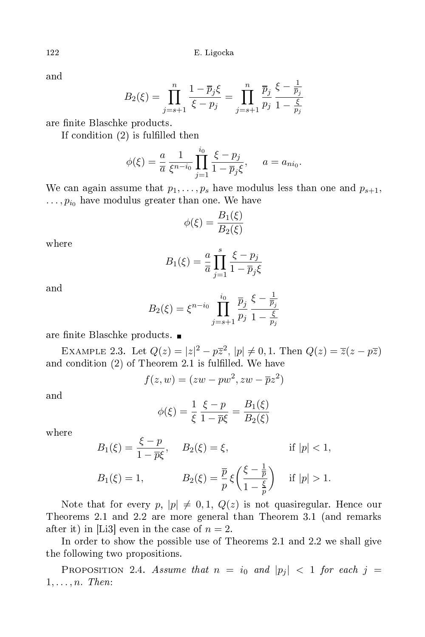and

$$
B_2(\xi) = \prod_{j=s+1}^n \frac{1 - \overline{p}_j \xi}{\xi - p_j} = \prod_{j=s+1}^n \frac{\overline{p}_j}{p_j} \frac{\xi - \frac{1}{\overline{p}_j}}{1 - \frac{\xi}{p_j}}
$$

are finite Blaschke products.

If condition  $(2)$  is fulfilled then

$$
\phi(\xi) = \frac{a}{\overline{a}} \frac{1}{\xi^{n-i_0}} \prod_{j=1}^{i_0} \frac{\xi - p_j}{1 - \overline{p}_j \xi}, \quad a = a_{ni_0}.
$$

We can again assume that  $p_1, \ldots, p_s$  have modulus less than one and  $p_{s+1}$ ,  $\ldots, p_{i_0}$  have modulus greater than one. We have

$$
\phi(\xi) = \frac{B_1(\xi)}{B_2(\xi)}
$$

where

$$
B_1(\xi) = \frac{a}{\overline{a}} \prod_{j=1}^s \frac{\xi - p_j}{1 - \overline{p}_j \xi}
$$

$$
B_2(\xi) = \xi^{n-i_0} \prod_{j=s+1}^{i_0} \frac{\overline{p}_j}{p_j} \frac{\xi - \frac{1}{\overline{p}_j}}{1 - \frac{\xi}{p_j}}
$$

are finite Blaschke products. ■

EXAMPLE 2.3. Let  $Q(z) = |z|^2 - p\overline{z}^2$ ,  $|p| \neq 0, 1$ . Then  $Q(z) = \overline{z}(z - p\overline{z})$ and condition (2) of Theorem 2.1 is fulfilled. We have

$$
f(z, w) = (zw - pw^2, zw - \overline{p}z^2)
$$

and

$$
\phi(\xi) = \frac{1}{\xi} \frac{\xi - p}{1 - \overline{p}\xi} = \frac{B_1(\xi)}{B_2(\xi)}
$$

where

$$
B_1(\xi) = \frac{\xi - p}{1 - \overline{p}\xi}, \quad B_2(\xi) = \xi, \quad \text{if } |p| < 1,
$$
\n
$$
B_1(\xi) = 1, \quad B_2(\xi) = \frac{\overline{p}}{p}\xi\left(\frac{\xi - \frac{1}{\overline{p}}}{1 - \frac{\xi}{p}}\right) \quad \text{if } |p| > 1.
$$

Note that for every  $p, |p| \neq 0, 1, Q(z)$  is not quasiregular. Hence our Theorems 2.1 and 2.2 are more general than Theorem 3.1 (and remarks after it) in [Li3] even in the case of  $n=2$ .

In order to show the possible use of Theorems 2.1 and 2.2 we shall give the following two propositions.

PROPOSITION 2.4. Assume that  $n = i_0$  and  $|p_j| < 1$  for each  $j =$  $1, \ldots, n$ . Then: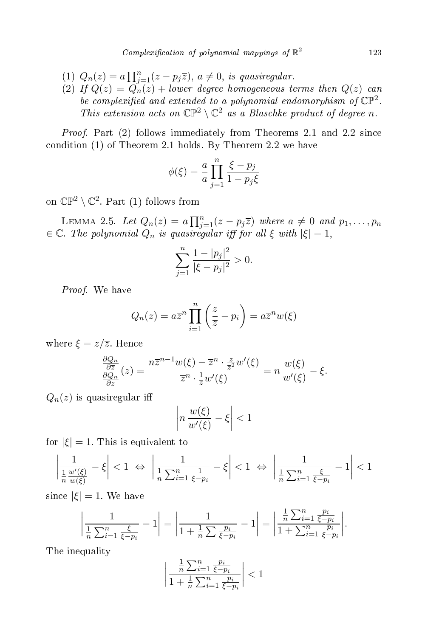- (1)  $Q_n(z) = a \prod_{j=1}^n (z p_j \overline{z}), a \neq 0$ , is quasiregular.
- (2) If  $Q(z) = Q_n(z) + lower$  degree homogeneous terms then  $Q(z)$  can be complexified and extended to a polynomial endomorphism of  $\mathbb{CP}^2$ . This extension acts on  $\mathbb{CP}^2 \setminus \mathbb{C}^2$  as a Blaschke product of degree n.

Proof. Part (2) follows immediately from Theorems 2.1 and 2.2 since ondition (1) of Theorem 2.1 holds. By Theorem 2.2 we have

$$
\phi(\xi) = \frac{a}{\overline{a}} \prod_{j=1}^{n} \frac{\xi - p_j}{1 - \overline{p}_j \xi}
$$

on  $\mathbb{CP}^2 \setminus \mathbb{C}^2$ . Part (1) follows from

LEMMA 2.5. Let  $Q_n(z) = a \prod_{j=1}^n (z - p_j \overline{z})$  where  $a \neq 0$  and  $p_1, \ldots, p_n$  $\in \mathbb{C}$ . The polynomial  $Q_n$  is quasiregular iff for all  $\xi$  with  $|\xi|=1$ ,

$$
\sum_{j=1}^{n} \frac{1 - |p_j|^2}{|\xi - p_j|^2} > 0.
$$

Proof. We have

$$
Q_n(z) = a\overline{z}^n \prod_{i=1}^n \left(\frac{z}{\overline{z}} - p_i\right) = a\overline{z}^n w(\xi)
$$

where  $\xi = z/\overline{z}$ . Hence

$$
\frac{\frac{\partial Q_n}{\partial \overline{z}}}{\frac{\partial Q_n}{\partial z}}(z) = \frac{n\overline{z}^{n-1}w(\xi) - \overline{z}^n \cdot \frac{z}{\overline{z}^2}w'(\xi)}{\overline{z}^n \cdot \frac{1}{\overline{z}}w'(\xi)} = n\frac{w(\xi)}{w'(\xi)} - \xi.
$$

 $Q_n(z)$  is quasiregular iff

$$
\left| n \, \frac{w(\xi)}{w'(\xi)} - \xi \right| < 1
$$

for  $|\xi| = 1$ . This is equivalent to

$$
\left|\frac{1}{\frac{1}{n}\frac{w'(\xi)}{w(\xi)}} - \xi\right| < 1 \iff \left|\frac{1}{\frac{1}{n}\sum_{i=1}^n \frac{1}{\xi - p_i}} - \xi\right| < 1 \iff \left|\frac{1}{\frac{1}{n}\sum_{i=1}^n \frac{\xi}{\xi - p_i}} - 1\right| < 1
$$

since  $|\xi| = 1$ . We have

$$
\left|\frac{1}{\frac{1}{n}\sum_{i=1}^{n}\frac{\xi}{\xi - p_i}} - 1\right| = \left|\frac{1}{1 + \frac{1}{n}\sum_{i=1}^{n}\frac{p_i}{\xi - p_i}} - 1\right| = \left|\frac{\frac{1}{n}\sum_{i=1}^{n}\frac{p_i}{\xi - p_i}}{1 + \sum_{i=1}^{n}\frac{p_i}{\xi - p_i}}\right|.
$$

The inequality

$$
\left| \frac{\frac{1}{n} \sum_{i=1}^n \frac{p_i}{\xi - p_i}}{1 + \frac{1}{n} \sum_{i=1}^n \frac{p_i}{\xi - p_i}} \right| < 1
$$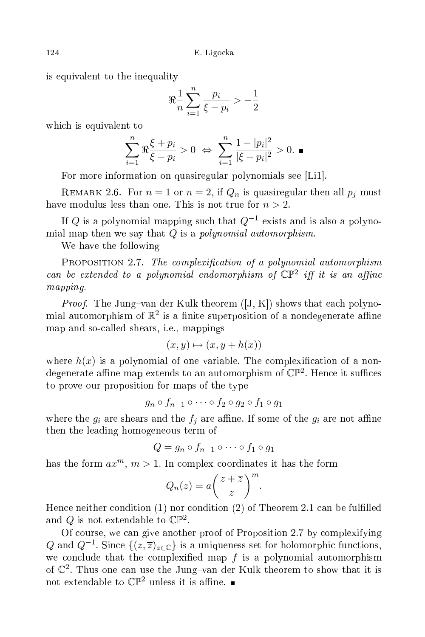is equivalent to the inequality

$$
\Re \frac{1}{n} \sum_{i=1}^n \frac{p_i}{\xi - p_i} > -\frac{1}{2}
$$

which is equivalent to

$$
\sum_{i=1}^n\Re\frac{\xi+p_i}{\xi-p_i}>0\ \Leftrightarrow\ \sum_{i=1}^n\frac{1-|p_i|^2}{|\xi-p_i|^2}>0.\ \blacksquare
$$

For more information on quasiregular polynomials see [Li1].

REMARK 2.6. For  $n = 1$  or  $n = 2$ , if  $Q_n$  is quasiregular then all  $p_j$  must have modulus less than one. This is not true for  $n > 2$ .

If  $Q$  is a polynomial mapping such that  $Q^{-1}$  exists and is also a polynomial map then we say that  $Q$  is a *polynomial automorphism*.

We have the following

PROPOSITION 2.7. The complexification of a polynomial automorphism can be extended to a polynomial endomorphism of  $\mathbb{CP}^2$  iff it is an affine mapping.

*Proof.* The Jung-van der Kulk theorem  $([J, K])$  shows that each polynomial automorphism of  $\mathbb{R}^2$  is a finite superposition of a nondegenerate affine map and soalled shears, i.e., mappings

$$
(x, y) \mapsto (x, y + h(x))
$$

where  $h(x)$  is a polynomial of one variable. The complexification of a nondegenerate affine map extends to an automorphism of  $\mathbb{CP}^2$ . Hence it suffices to prove our proposition for maps of the type

$$
g_n \circ f_{n-1} \circ \cdots \circ f_2 \circ g_2 \circ f_1 \circ g_1
$$

where the  $g_i$  are shears and the  $f_i$  are affine. If some of the  $g_i$  are not affine then the leading homogeneous term of

$$
Q = g_n \circ f_{n-1} \circ \cdots \circ f_1 \circ g_1
$$

has the form  $ax^m$ ,  $m > 1$ . In complex coordinates it has the form

$$
Q_n(z) = a \left(\frac{z+\overline{z}}{z}\right)^m.
$$

Hence neither condition (1) nor condition (2) of Theorem 2.1 can be fulfilled and Q is not extendable to  $\mathbb{CP}^2$ .

Of ourse, we an give another proof of Proposition 2.7 by omplexifying Q and  $Q^{-1}$ . Since  $\{(z,\overline{z})_{z\in\mathbb{C}}\}$  is a uniqueness set for holomorphic functions, we conclude that the complexified map  $f$  is a polynomial automorphism of  $\mathbb{C}^2$ . Thus one can use the Jung-van der Kulk theorem to show that it is not extendable to  $\mathbb{CP}^2$  unless it is affine.